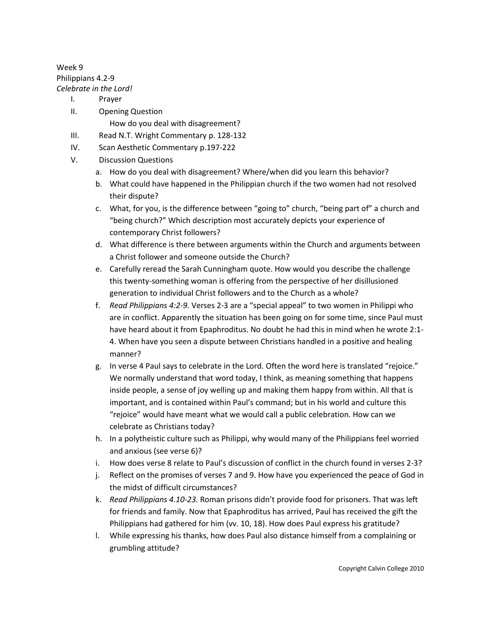## Week 9 Philippians 4.2-9 *Celebrate in the Lord!*

- I. Prayer
- II. Opening Question How do you deal with disagreement?
- III. Read N.T. Wright Commentary p. 128-132
- IV. Scan Aesthetic Commentary p.197-222
- V. Discussion Questions
	- a. How do you deal with disagreement? Where/when did you learn this behavior?
	- b. What could have happened in the Philippian church if the two women had not resolved their dispute?
	- c. What, for you, is the difference between "going to" church, "being part of" a church and "being church?" Which description most accurately depicts your experience of contemporary Christ followers?
	- d. What difference is there between arguments within the Church and arguments between a Christ follower and someone outside the Church?
	- e. Carefully reread the Sarah Cunningham quote. How would you describe the challenge this twenty-something woman is offering from the perspective of her disillusioned generation to individual Christ followers and to the Church as a whole?
	- f. *Read Philippians 4:2-9.* Verses 2-3 are a "special appeal" to two women in Philippi who are in conflict. Apparently the situation has been going on for some time, since Paul must have heard about it from Epaphroditus. No doubt he had this in mind when he wrote 2:1- 4. When have you seen a dispute between Christians handled in a positive and healing manner?
	- g. In verse 4 Paul says to celebrate in the Lord. Often the word here is translated "rejoice." We normally understand that word today, I think, as meaning something that happens inside people, a sense of joy welling up and making them happy from within. All that is important, and is contained within Paul's command; but in his world and culture this "rejoice" would have meant what we would call a public celebration. How can we celebrate as Christians today?
	- h. In a polytheistic culture such as Philippi, why would many of the Philippians feel worried and anxious (see verse 6)?
	- i. How does verse 8 relate to Paul's discussion of conflict in the church found in verses 2-3?
	- j. Reflect on the promises of verses 7 and 9. How have you experienced the peace of God in the midst of difficult circumstances?
	- k. *Read Philippians 4.10-23.* Roman prisons didn't provide food for prisoners. That was left for friends and family. Now that Epaphroditus has arrived, Paul has received the gift the Philippians had gathered for him (vv. 10, 18). How does Paul express his gratitude?
	- l. While expressing his thanks, how does Paul also distance himself from a complaining or grumbling attitude?